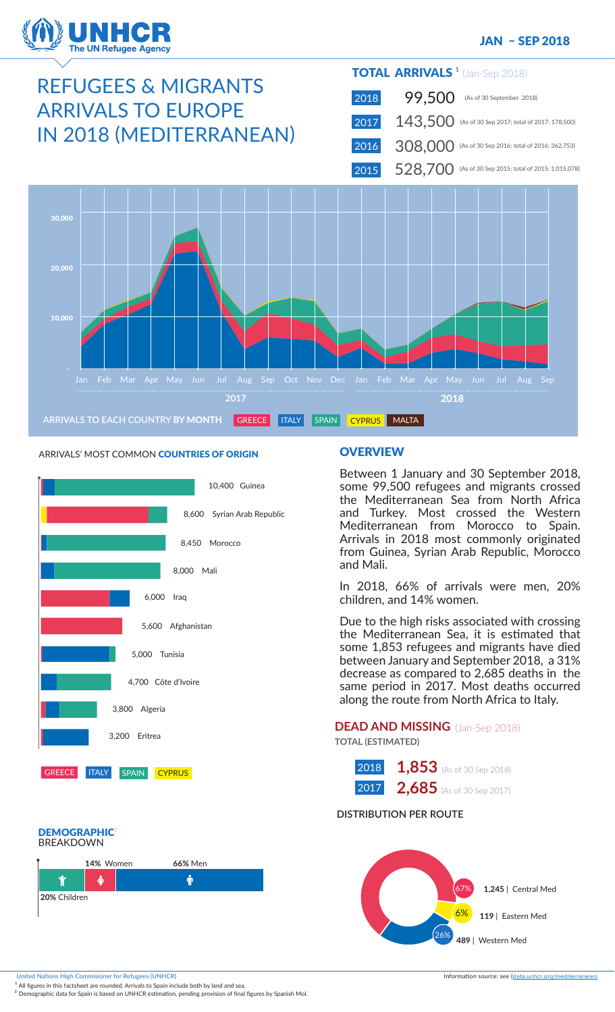

### JAN – SEP 2018

# REFUGEES & MIGRANTS ARRIVALS TO EUROPE IN 2018 (MEDITERRANEAN)

### TOTAL ARRIVALS<sup>1</sup> (Jan-Sep 2018)

 2018 2017 143,500 (As of 30 Sep 2017; total of 2017: 178,500) 99,500 (As of 30 September 2018)

 2016 308,000 (As of 30 Sep 2016; total of 2016: 362,753)

 2015  $528,700$  (As of 30 Sep 2015; total of 2015: 1,015,078)



### ARRIVALS' MOST COMMON COUNTRIES OF ORIGIN



## DEMOGRAPHIC<sup>2</sup><br>BREAKDOWN



### **OVERVIEW**

Between 1 January and 30 September 2018, some 99,500 refugees and migrants crossed the Mediterranean Sea from North Africa and Turkey. Most crossed the Western Mediterranean from Morocco to Spain. Arrivals in 2018 most commonly originated from Guinea, Syrian Arab Republic, Morocco and Mali.

In 2018, 66% of arrivals were men, 20% children, and 14% women.

Due to the high risks associated with crossing the Mediterranean Sea, it is estimated that some 1,853 refugees and migrants have died between January and September 2018, a 31% decrease as compared to 2,685 deaths in the same period in 2017. Most deaths occurred along the route from North Africa to Italy.

### **DEAD AND MISSING** (Jan-Sep 2018) **TOTAL (ESTIMATED)**

| 2018 | 1,853 (As of 30 Sep 2018) |
|------|---------------------------|
| 2017 | 2,685 (As of 30 Sep 2017) |

### **DISTRIBUTION PER ROUTE**



United Nations High Commisioner for Refugees (UNHCR) information source: see (data.unhcr.org/mediterranean)

 $^{\text{1}}$  All figures in this factsheet are rounded. Arrivals to Spain include both by land and sea.

<sup>2</sup> Demographic data for Spain is based on UNHCR estimation, pending provision of final figures by Spanish Mol.